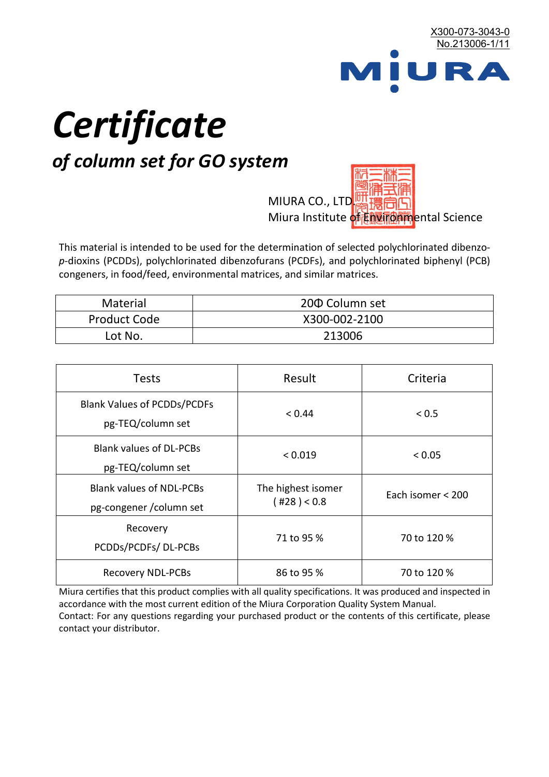

# *Certificate*

## *of column set for GO system*

MIURA CO., LTD. Miura Institute of 正版而解ental Science

This material is intended to be used for the determination of selected polychlorinated dibenzo*p*-dioxins (PCDDs), polychlorinated dibenzofurans (PCDFs), and polychlorinated biphenyl (PCB) congeners, in food/feed, environmental matrices, and similar matrices.

| <b>Material</b>     | 200 Column set |  |
|---------------------|----------------|--|
| <b>Product Code</b> | X300-002-2100  |  |
| Lot No.             | 213006         |  |

| <b>Tests</b>                                                | Result                            | Criteria          |
|-------------------------------------------------------------|-----------------------------------|-------------------|
| <b>Blank Values of PCDDs/PCDFs</b><br>pg-TEQ/column set     | < 0.44                            | < 0.5             |
| <b>Blank values of DL-PCBs</b><br>pg-TEQ/column set         | < 0.019                           | < 0.05            |
| <b>Blank values of NDL-PCBs</b><br>pg-congener / column set | The highest isomer<br>(428) < 0.8 | Each isomer < 200 |
| Recovery<br>PCDDs/PCDFs/DL-PCBs                             | 71 to 95 %                        | 70 to 120 %       |
| <b>Recovery NDL-PCBs</b>                                    | 86 to 95 %                        | 70 to 120 %       |

Miura certifies that this product complies with all quality specifications. It was produced and inspected in accordance with the most current edition of the Miura Corporation Quality System Manual. Contact: For any questions regarding your purchased product or the contents of this certificate, please contact your distributor.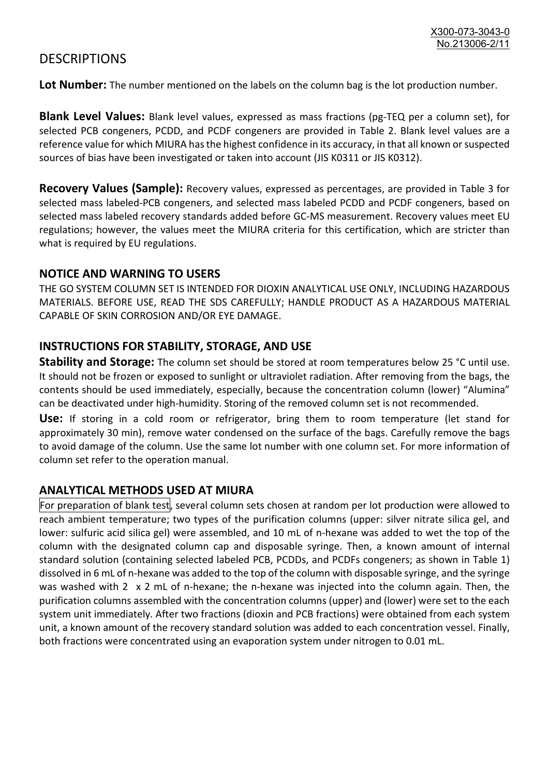### **DESCRIPTIONS**

**Lot Number:** The number mentioned on the labels on the column bag is the lot production number.

**Blank Level Values:** Blank level values, expressed as mass fractions (pg-TEQ per a column set), for selected PCB congeners, PCDD, and PCDF congeners are provided in Table 2. Blank level values are a reference value for which MIURA has the highest confidence in its accuracy, in that all known or suspected sources of bias have been investigated or taken into account (JIS K0311 or JIS K0312).

**Recovery Values (Sample):** Recovery values, expressed as percentages, are provided in Table 3 for selected mass labeled-PCB congeners, and selected mass labeled PCDD and PCDF congeners, based on selected mass labeled recovery standards added before GC-MS measurement. Recovery values meet EU regulations; however, the values meet the MIURA criteria for this certification, which are stricter than what is required by EU regulations.

#### **NOTICE AND WARNING TO USERS**

THE GO SYSTEM COLUMN SET IS INTENDED FOR DIOXIN ANALYTICAL USE ONLY, INCLUDING HAZARDOUS MATERIALS. BEFORE USE, READ THE SDS CAREFULLY; HANDLE PRODUCT AS A HAZARDOUS MATERIAL CAPABLE OF SKIN CORROSION AND/OR EYE DAMAGE.

#### **INSTRUCTIONS FOR STABILITY, STORAGE, AND USE**

**Stability and Storage:** The column set should be stored at room temperatures below 25 °C until use. It should not be frozen or exposed to sunlight or ultraviolet radiation. After removing from the bags, the contents should be used immediately, especially, because the concentration column (lower) "Alumina" can be deactivated under high-humidity. Storing of the removed column set is not recommended.

**Use:** If storing in a cold room or refrigerator, bring them to room temperature (let stand for approximately 30 min), remove water condensed on the surface of the bags. Carefully remove the bags to avoid damage of the column. Use the same lot number with one column set. For more information of column set refer to the operation manual.

#### **ANALYTICAL METHODS USED AT MIURA**

For preparation of blank test, several column sets chosen at random per lot production were allowed to reach ambient temperature; two types of the purification columns (upper: silver nitrate silica gel, and lower: sulfuric acid silica gel) were assembled, and 10 mL of n-hexane was added to wet the top of the column with the designated column cap and disposable syringe. Then, a known amount of internal standard solution (containing selected labeled PCB, PCDDs, and PCDFs congeners; as shown in Table 1) dissolved in 6 mL of n-hexane was added to the top of the column with disposable syringe, and the syringe was washed with 2 x 2 mL of n-hexane; the n-hexane was injected into the column again. Then, the purification columns assembled with the concentration columns (upper) and (lower) were set to the each system unit immediately. After two fractions (dioxin and PCB fractions) were obtained from each system unit, a known amount of the recovery standard solution was added to each concentration vessel. Finally, both fractions were concentrated using an evaporation system under nitrogen to 0.01 mL.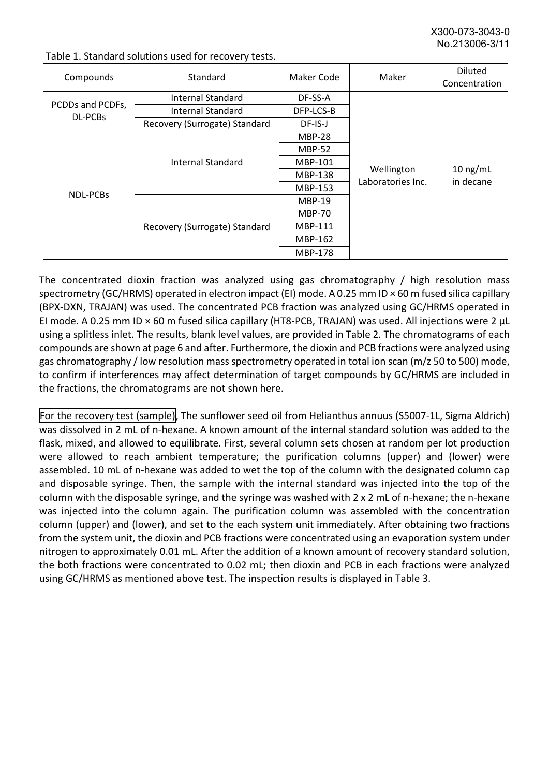X300-073-3043-0 No.213006-3/

| Compounds                   | Standard                      | Maker Code     | Maker                           | <b>Diluted</b><br>Concentration |
|-----------------------------|-------------------------------|----------------|---------------------------------|---------------------------------|
| PCDDs and PCDFs,<br>DL-PCBs | Internal Standard             | DF-SS-A        |                                 | $10$ ng/mL<br>in decane         |
|                             | <b>Internal Standard</b>      | DFP-LCS-B      |                                 |                                 |
|                             | Recovery (Surrogate) Standard | DF-IS-J        | Wellington<br>Laboratories Inc. |                                 |
| <b>NDL-PCBs</b>             | Internal Standard             | <b>MBP-28</b>  |                                 |                                 |
|                             |                               | <b>MBP-52</b>  |                                 |                                 |
|                             |                               | MBP-101        |                                 |                                 |
|                             |                               | <b>MBP-138</b> |                                 |                                 |
|                             |                               | MBP-153        |                                 |                                 |
|                             | Recovery (Surrogate) Standard | <b>MBP-19</b>  |                                 |                                 |
|                             |                               | <b>MBP-70</b>  |                                 |                                 |
|                             |                               | MBP-111        |                                 |                                 |
|                             |                               | MBP-162        |                                 |                                 |
|                             |                               | <b>MBP-178</b> |                                 |                                 |

Table 1. Standard solutions used for recovery tests.

The concentrated dioxin fraction was analyzed using gas chromatography / high resolution mass spectrometry (GC/HRMS) operated in electron impact (EI) mode. A 0.25 mm ID × 60 m fused silica capillary (BPX-DXN, TRAJAN) was used. The concentrated PCB fraction was analyzed using GC/HRMS operated in EI mode. A 0.25 mm ID × 60 m fused silica capillary (HT8-PCB, TRAJAN) was used. All injections were 2 μL using a splitless inlet. The results, blank level values, are provided in Table 2. The chromatograms of each compounds are shown at page 6 and after. Furthermore, the dioxin and PCB fractions were analyzed using gas chromatography / low resolution mass spectrometry operated in total ion scan (m/z 50 to 500) mode, to confirm if interferences may affect determination of target compounds by GC/HRMS are included in the fractions, the chromatograms are not shown here.

For the recovery test (sample), The sunflower seed oil from Helianthus annuus (S5007-1L, Sigma Aldrich) was dissolved in 2 mL of n-hexane. A known amount of the internal standard solution was added to the flask, mixed, and allowed to equilibrate. First, several column sets chosen at random per lot production were allowed to reach ambient temperature; the purification columns (upper) and (lower) were assembled. 10 mL of n-hexane was added to wet the top of the column with the designated column cap and disposable syringe. Then, the sample with the internal standard was injected into the top of the column with the disposable syringe, and the syringe was washed with 2 x 2 mL of n-hexane; the n-hexane was injected into the column again. The purification column was assembled with the concentration column (upper) and (lower), and set to the each system unit immediately. After obtaining two fractions from the system unit, the dioxin and PCB fractions were concentrated using an evaporation system under nitrogen to approximately 0.01 mL. After the addition of a known amount of recovery standard solution, the both fractions were concentrated to 0.02 mL; then dioxin and PCB in each fractions were analyzed using GC/HRMS as mentioned above test. The inspection results is displayed in Table 3.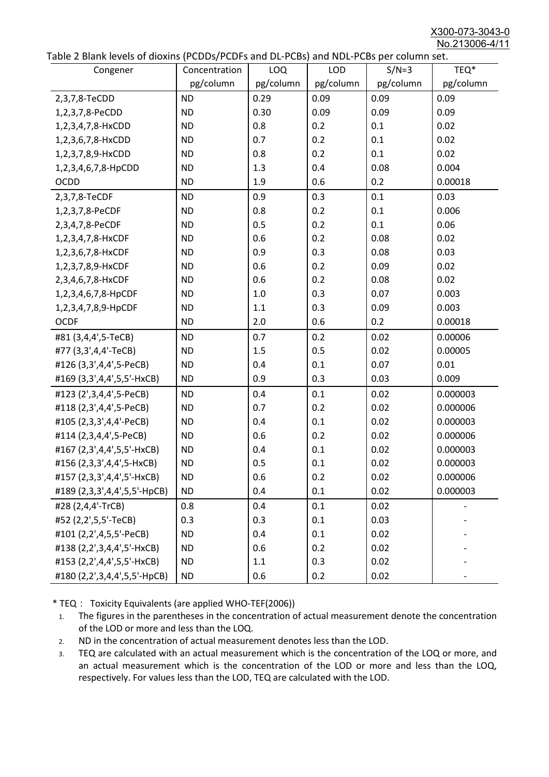X300-073-3043-0 No.213006-4/11

|  | Table 2 Blank levels of dioxins (PCDDs/PCDFs and DL-PCBs) and NDL-PCBs per column set. |
|--|----------------------------------------------------------------------------------------|
|--|----------------------------------------------------------------------------------------|

| abic 2 Diarik icveis of dioxins (I CDD3/TCDTs and DET CD3/ and NDET CD3 pcr column sett. | Concentration | LOQ       | <b>LOD</b> | $S/N=3$   | TEQ*      |
|------------------------------------------------------------------------------------------|---------------|-----------|------------|-----------|-----------|
| Congener                                                                                 | pg/column     | pg/column | pg/column  | pg/column | pg/column |
| 2,3,7,8-TeCDD                                                                            | <b>ND</b>     | 0.29      | 0.09       | 0.09      | 0.09      |
| 1,2,3,7,8-PeCDD                                                                          | <b>ND</b>     | 0.30      | 0.09       | 0.09      | 0.09      |
| 1,2,3,4,7,8-HxCDD                                                                        | <b>ND</b>     | 0.8       | 0.2        | 0.1       | 0.02      |
| 1,2,3,6,7,8-HxCDD                                                                        | <b>ND</b>     | 0.7       | 0.2        | 0.1       | 0.02      |
| 1,2,3,7,8,9-HxCDD                                                                        | <b>ND</b>     | 0.8       | 0.2        | 0.1       | 0.02      |
| 1,2,3,4,6,7,8-HpCDD                                                                      | <b>ND</b>     | 1.3       | 0.4        | 0.08      | 0.004     |
| <b>OCDD</b>                                                                              | <b>ND</b>     | 1.9       | 0.6        | 0.2       | 0.00018   |
|                                                                                          |               |           |            |           |           |
| 2,3,7,8-TeCDF                                                                            | <b>ND</b>     | 0.9       | 0.3        | 0.1       | 0.03      |
| 1,2,3,7,8-PeCDF                                                                          | <b>ND</b>     | 0.8       | 0.2        | 0.1       | 0.006     |
| 2,3,4,7,8-PeCDF                                                                          | <b>ND</b>     | 0.5       | 0.2        | 0.1       | 0.06      |
| 1,2,3,4,7,8-HxCDF                                                                        | <b>ND</b>     | 0.6       | 0.2        | 0.08      | 0.02      |
| 1,2,3,6,7,8-HxCDF                                                                        | <b>ND</b>     | 0.9       | 0.3        | 0.08      | 0.03      |
| 1,2,3,7,8,9-HxCDF                                                                        | <b>ND</b>     | 0.6       | 0.2        | 0.09      | 0.02      |
| 2,3,4,6,7,8-HxCDF                                                                        | <b>ND</b>     | 0.6       | 0.2        | 0.08      | 0.02      |
| 1,2,3,4,6,7,8-HpCDF                                                                      | <b>ND</b>     | 1.0       | 0.3        | 0.07      | 0.003     |
| 1,2,3,4,7,8,9-HpCDF                                                                      | <b>ND</b>     | 1.1       | 0.3        | 0.09      | 0.003     |
| <b>OCDF</b>                                                                              | <b>ND</b>     | 2.0       | 0.6        | 0.2       | 0.00018   |
| #81 (3,4,4',5-TeCB)                                                                      | <b>ND</b>     | 0.7       | 0.2        | 0.02      | 0.00006   |
| #77 (3,3',4,4'-TeCB)                                                                     | <b>ND</b>     | 1.5       | 0.5        | 0.02      | 0.00005   |
| #126 (3,3',4,4',5-PeCB)                                                                  | <b>ND</b>     | 0.4       | 0.1        | 0.07      | 0.01      |
| #169 (3,3',4,4',5,5'-HxCB)                                                               | <b>ND</b>     | 0.9       | 0.3        | 0.03      | 0.009     |
| #123 (2',3,4,4',5-PeCB)                                                                  | <b>ND</b>     | 0.4       | 0.1        | 0.02      | 0.000003  |
| #118 (2,3',4,4',5-PeCB)                                                                  | <b>ND</b>     | 0.7       | 0.2        | 0.02      | 0.000006  |
| #105 (2,3,3',4,4'-PeCB)                                                                  | <b>ND</b>     | 0.4       | 0.1        | 0.02      | 0.000003  |
| #114 (2,3,4,4',5-PeCB)                                                                   | <b>ND</b>     | 0.6       | 0.2        | 0.02      | 0.000006  |
| #167 (2,3',4,4',5,5'-HxCB)                                                               | <b>ND</b>     | 0.4       | 0.1        | 0.02      | 0.000003  |
| #156 (2,3,3',4,4',5-HxCB)                                                                | <b>ND</b>     | 0.5       | 0.1        | 0.02      | 0.000003  |
| #157 (2,3,3',4,4',5'-HxCB)                                                               | <b>ND</b>     | 0.6       | 0.2        | 0.02      | 0.000006  |
| #189 (2,3,3',4,4',5,5'-HpCB)                                                             | <b>ND</b>     | 0.4       | 0.1        | 0.02      | 0.000003  |
| #28 (2,4,4'-TrCB)                                                                        | 0.8           | 0.4       | 0.1        | 0.02      |           |
| #52 (2,2',5,5'-TeCB)                                                                     | 0.3           | 0.3       | 0.1        | 0.03      |           |
| #101 (2,2',4,5,5'-PeCB)                                                                  | <b>ND</b>     | 0.4       | 0.1        | 0.02      |           |
| #138 (2,2',3,4,4',5'-HxCB)                                                               | <b>ND</b>     | 0.6       | 0.2        | 0.02      |           |
| #153 (2,2',4,4',5,5'-HxCB)                                                               | <b>ND</b>     | 1.1       | 0.3        | 0.02      |           |
| #180 (2,2',3,4,4',5,5'-HpCB)                                                             | <b>ND</b>     | 0.6       | 0.2        | 0.02      |           |

\* TEQ: Toxicity Equivalents (are applied WHO-TEF(2006))

- 1. The figures in the parentheses in the concentration of actual measurement denote the concentration of the LOD or more and less than the LOQ.
- 2. ND in the concentration of actual measurement denotes less than the LOD.
- 3. TEQ are calculated with an actual measurement which is the concentration of the LOQ or more, and an actual measurement which is the concentration of the LOD or more and less than the LOQ, respectively. For values less than the LOD, TEQ are calculated with the LOD.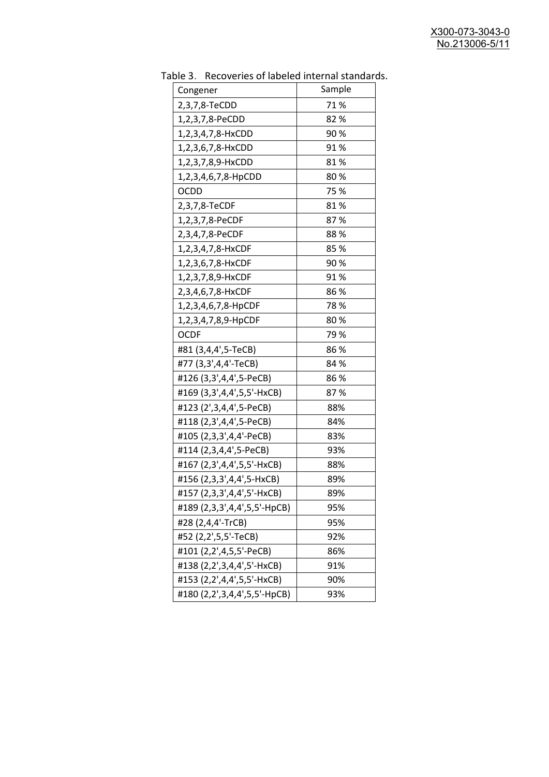| uwic J.<br><b>INCLUSION INTO THE MANUSCRY INTO THE STATISTICS</b><br>Congener | Sample      |
|-------------------------------------------------------------------------------|-------------|
| 2,3,7,8-TeCDD                                                                 | 71%         |
| 1,2,3,7,8-PeCDD                                                               | 82%         |
| 1,2,3,4,7,8-HxCDD                                                             | 90%         |
| 1,2,3,6,7,8-HxCDD                                                             | 91%         |
|                                                                               | 81%         |
| 1,2,3,7,8,9-HxCDD                                                             |             |
| 1,2,3,4,6,7,8-HpCDD                                                           | 80%<br>75 % |
| OCDD                                                                          |             |
| 2,3,7,8-TeCDF                                                                 | 81%         |
| 1,2,3,7,8-PeCDF                                                               | 87%         |
| 2,3,4,7,8-PeCDF                                                               | 88%         |
| 1,2,3,4,7,8-HxCDF                                                             | 85 %        |
| 1,2,3,6,7,8-HxCDF                                                             | 90%         |
| 1,2,3,7,8,9-HxCDF                                                             | 91%         |
| 2,3,4,6,7,8-HxCDF                                                             | 86%         |
| 1,2,3,4,6,7,8-HpCDF                                                           | 78%         |
| 1,2,3,4,7,8,9-HpCDF                                                           | 80%         |
| <b>OCDF</b>                                                                   | 79%         |
| #81 (3,4,4',5-TeCB)                                                           | 86%         |
| #77 (3,3',4,4'-TeCB)                                                          | 84 %        |
| #126 (3,3',4,4',5-PeCB)                                                       | 86 %        |
| #169 (3,3',4,4',5,5'-HxCB)                                                    | 87%         |
| #123 (2',3,4,4',5-PeCB)                                                       | 88%         |
| #118 (2,3',4,4',5-PeCB)                                                       | 84%         |
| #105 (2,3,3',4,4'-PeCB)                                                       | 83%         |
| #114 (2,3,4,4',5-PeCB)                                                        | 93%         |
| #167 (2,3',4,4',5,5'-HxCB)                                                    | 88%         |
| #156 (2,3,3',4,4',5-HxCB)                                                     | 89%         |
| #157 (2,3,3',4,4',5'-HxCB)                                                    | 89%         |
| #189 (2,3,3',4,4',5,5'-HpCB)                                                  | 95%         |
| #28 (2,4,4'-TrCB)                                                             | 95%         |
| #52 (2,2',5,5'-TeCB)                                                          | 92%         |
| #101 (2,2',4,5,5'-PeCB)                                                       | 86%         |
| #138 (2,2',3,4,4',5'-HxCB)                                                    | 91%         |
| #153 (2,2',4,4',5,5'-HxCB)                                                    | 90%         |
| #180 (2,2',3,4,4',5,5'-HpCB)                                                  | 93%         |
|                                                                               |             |

Table 3. Recoveries of labeled internal standards.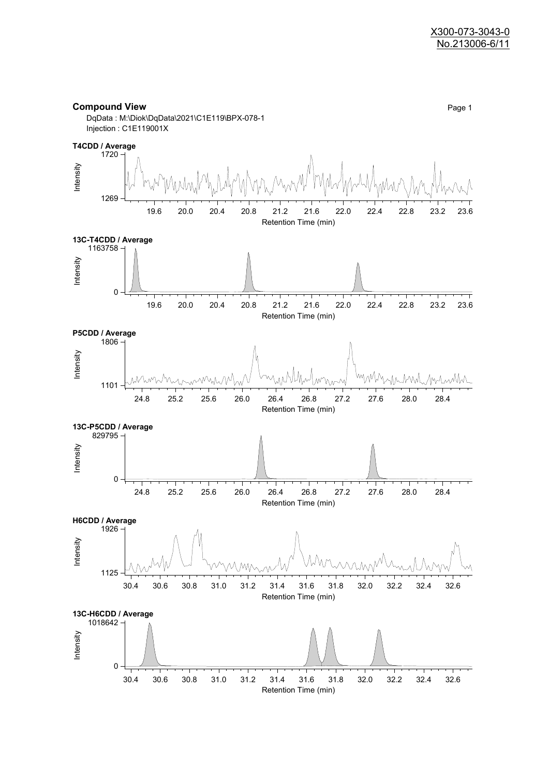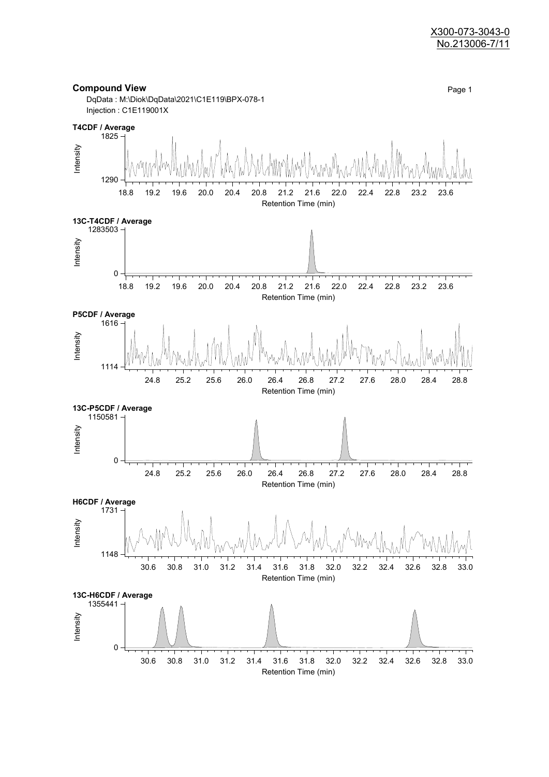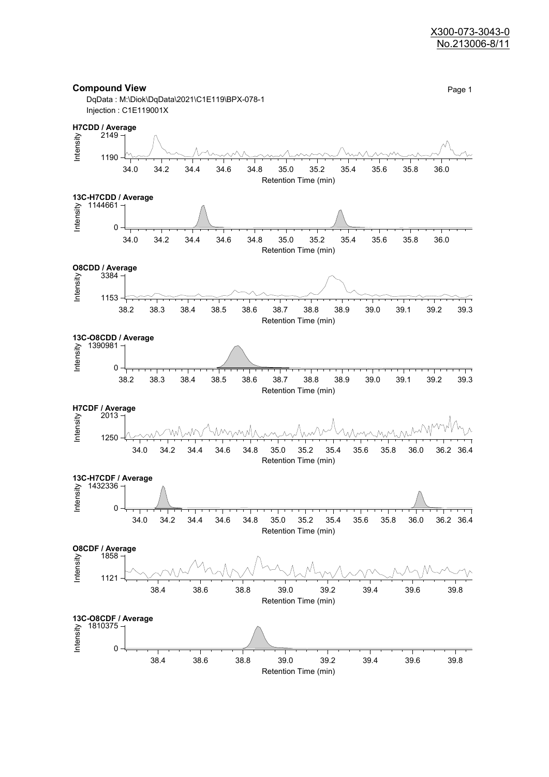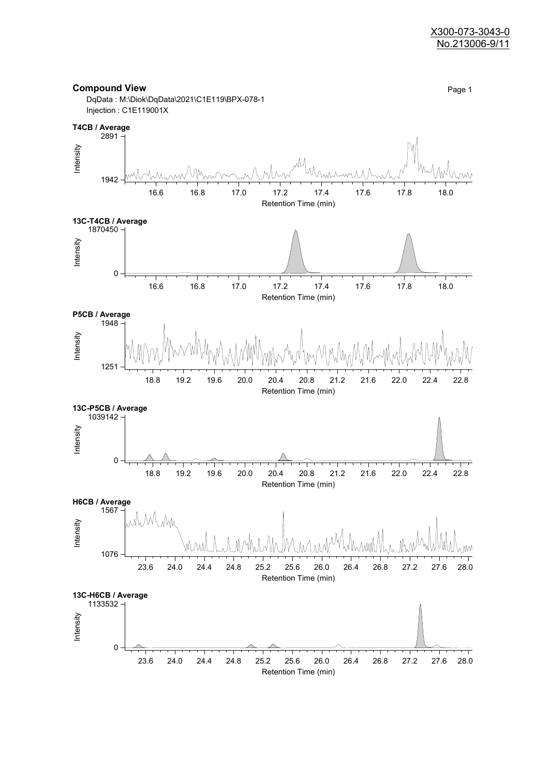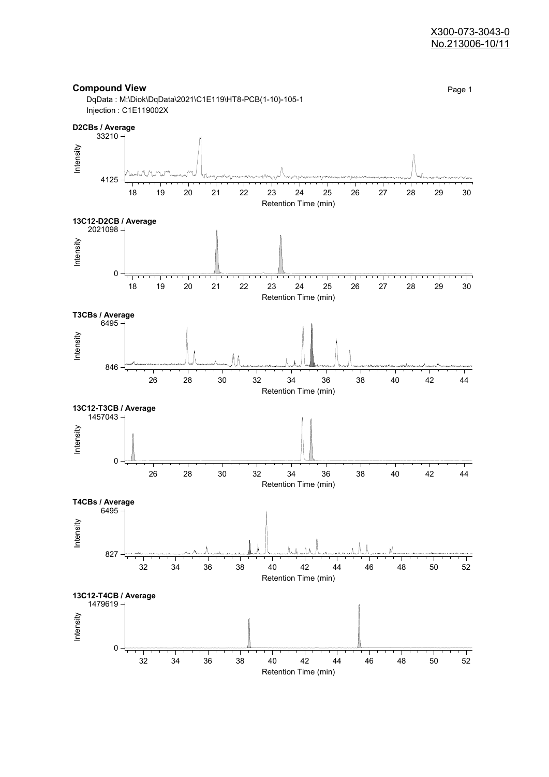